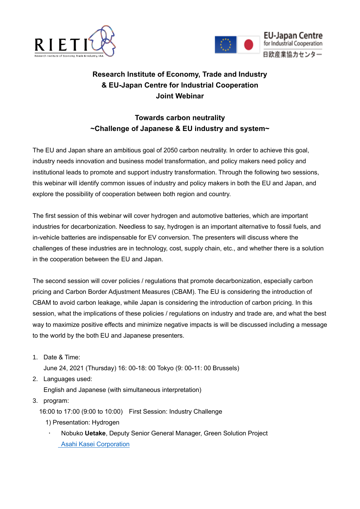



## **Research Institute of Economy, Trade and Industry & EU-Japan Centre for Industrial Cooperation Joint Webinar**

## **Towards carbon neutrality ~Challenge of Japanese & EU industry and system~**

The EU and Japan share an ambitious goal of 2050 carbon neutrality. In order to achieve this goal, industry needs innovation and business model transformation, and policy makers need policy and institutional leads to promote and support industry transformation. Through the following two sessions, this webinar will identify common issues of industry and policy makers in both the EU and Japan, and explore the possibility of cooperation between both region and country.

The first session of this webinar will cover hydrogen and automotive batteries, which are important industries for decarbonization. Needless to say, hydrogen is an important alternative to fossil fuels, and in-vehicle batteries are indispensable for EV conversion. The presenters will discuss where the challenges of these industries are in technology, cost, supply chain, etc., and whether there is a solution in the cooperation between the EU and Japan.

The second session will cover policies / regulations that promote decarbonization, especially carbon pricing and Carbon Border Adjustment Measures (CBAM). The EU is considering the introduction of CBAM to avoid carbon leakage, while Japan is considering the introduction of carbon pricing. In this session, what the implications of these policies / regulations on industry and trade are, and what the best way to maximize positive effects and minimize negative impacts is will be discussed including a message to the world by the both EU and Japanese presenters.

1. Date & Time:

June 24, 2021 (Thursday) 16: 00-18: 00 Tokyo (9: 00-11: 00 Brussels)

2. Languages used:

English and Japanese (with simultaneous interpretation)

3. program:

16:00 to 17:00 (9:00 to 10:00) First Session: Industry Challenge

- 1) Presentation: Hydrogen
	- Nobuko **Uetake**, Deputy Senior General Manager, Green Solution Project [Asahi Kasei Corporation](https://www.asahi-kasei.com/)